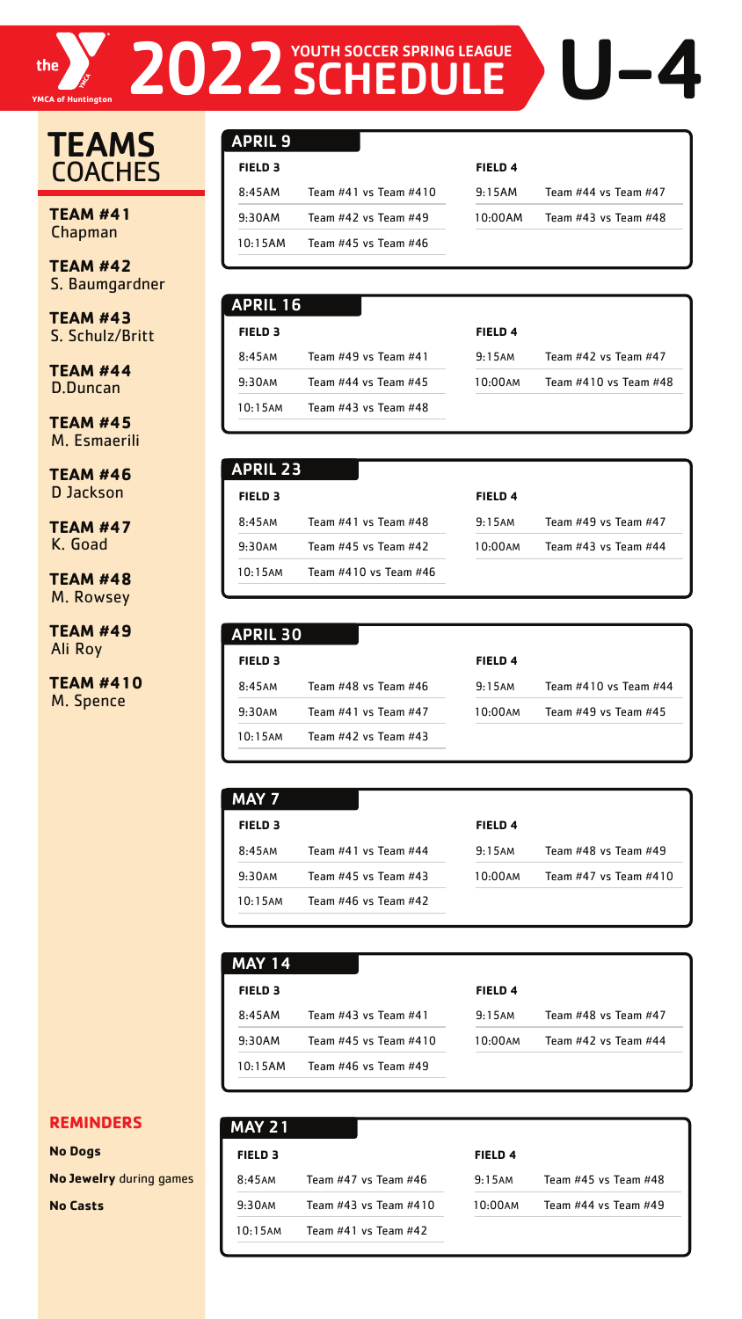

# **TEAMS COACHES**

**TEAM #41** Chapman

**TEAM #42** S. Baumgardner

**TEAM #43** S. Schulz/Britt

**TEAM #44** D.Duncan

**TEAM #45** M. Esmaerili

**TEAM #46** D Jackson

**TEAM #47** K. Goad

**TEAM #48** M. Rowsey

**TEAM #49** Ali Roy

**TEAM #410** M. Spence

#### **REMINDERS**

**No Dogs** 

**No Jewelry** during games

**No Casts** 

| <b>APRIL 9</b> |                             |                    |                          |
|----------------|-----------------------------|--------------------|--------------------------|
| <b>FIELD 3</b> |                             | FIELD <sub>4</sub> |                          |
| 8:45AM         | Team $\#41$ vs Team $\#410$ | 9:15AM             | Team $#44$ vs Team $#47$ |
| 9:30AM         | Team #42 vs Team #49        | 10:00AM            | Team #43 vs Team #48     |
| 10:15AM        | Team #45 vs Team #46        |                    |                          |

2022 SCHEDULE DU-4

| <b>APRIL 23</b>    |                          |                    |                            |
|--------------------|--------------------------|--------------------|----------------------------|
| FIELD <sub>3</sub> |                          | FIELD <sub>4</sub> |                            |
| 8:45AM             | Team #41 vs Team #48     | 9:15AM             | Team $\#49$ vs Team $\#47$ |
| 9:30AM             | Team $#45$ vs Team $#42$ | 10:00AM            | Team $#43$ vs Team $#44$   |
| $10:15$ AM         | Team #410 vs Team #46    |                    |                            |
|                    |                          |                    |                            |

| <b>MAY 7</b>   |                      |                    |                      |
|----------------|----------------------|--------------------|----------------------|
| <b>FIELD 3</b> |                      | FIELD <sub>4</sub> |                      |
| 8:45AM         | Team #41 vs Team #44 | 9:15AM             | Team #48 vs Team #49 |

| 9:30AM     | Team $#45$ vs Team $#43$ |  | $10:00$ AM | Team $#47$ vs Team $#410$ |
|------------|--------------------------|--|------------|---------------------------|
| $10:15$ AM | Team $#46$ vs Team $#42$ |  |            |                           |
|            |                          |  |            |                           |

| <b>APRIL 16</b> |                          |                    |                          |
|-----------------|--------------------------|--------------------|--------------------------|
| <b>FIELD 3</b>  |                          | FIELD <sub>4</sub> |                          |
| 8:45AM          | Team #49 vs Team #41     | 9:15AM             | Team $#42$ vs Team $#47$ |
| 9:30AM          | Team $#44$ vs Team $#45$ | $10:00$ AM         | Team #410 vs Team #48    |
| $10:15$ AM      | Team #43 vs Team #48     |                    |                          |

|                | <b>APRIL 30</b>          |                |                       |
|----------------|--------------------------|----------------|-----------------------|
| <b>FIELD 3</b> |                          | <b>FIELD 4</b> |                       |
| 8:45AM         | Team #48 vs Team #46     | 9:15AM         | Team #410 vs Team #44 |
| 9:30AM         | Team $#41$ vs Team $#47$ | 10:00am        | Team #49 vs Team #45  |
| $10:15$ AM     | Team $#42$ vs Team $#43$ |                |                       |

| <b>MAY 14</b>      |                       |                    |                      |
|--------------------|-----------------------|--------------------|----------------------|
| FIELD <sub>3</sub> |                       | FIELD <sub>4</sub> |                      |
| 8:45AM             | Team #43 vs Team #41  | 9:15AM             | Team #48 vs Team #47 |
| 9:30AM             | Team #45 vs Team #410 | 10:00AM            | Team #42 vs Team #44 |
| 10:15AM            | Team #46 vs Team #49  |                    |                      |
|                    |                       |                    |                      |

| <b>MAY 21</b>      |                          |                    |                      |
|--------------------|--------------------------|--------------------|----------------------|
| FIELD <sub>3</sub> |                          | FIELD <sub>4</sub> |                      |
| 8:45AM             | Team $#47$ vs Team $#46$ | 9:15AM             | Team #45 vs Team #48 |
| 9:30AM             | Team #43 vs Team #410    | 10:00AM            | Team #44 vs Team #49 |
| $10:15$ AM         | Team $#41$ vs Team $#42$ |                    |                      |
|                    |                          |                    |                      |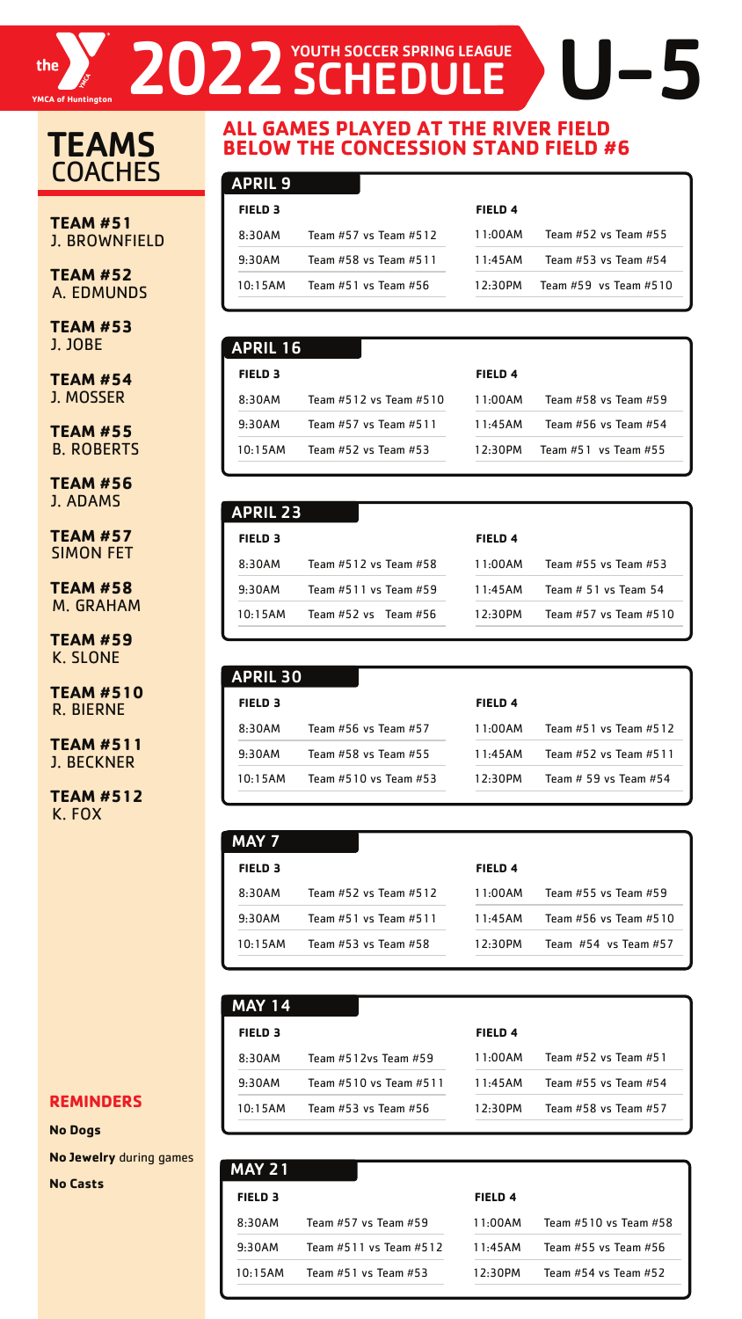

# TEAMS **COACHES**

#### **REMINDERS**

**No Dogs** 

**No Jewelry** during games

**No Casts** 

| <b>FIELD 3</b> |                       |
|----------------|-----------------------|
| 8:30AM         | Team #57 vs Team #512 |
| 9:30AM         | Team #58 vs Team #511 |
| $10:15$ AM     | Team #51 vs Team #56  |

| <b>FIELD 4</b> |                               |
|----------------|-------------------------------|
|                | 11:00AM Team #52 vs Team #55  |
|                | 11:45AM Team #53 vs Team #54  |
|                | 12:30PM Team #59 vs Team #510 |

#### APRIL 9

| <b>FIELD 3</b> |                           |
|----------------|---------------------------|
| 8:30AM         | Team #512 vs Team #58     |
| 9:30AM         | Team $#511$ vs Team $#59$ |
| 10:15AM        | Team $#52$ vs Team $#56$  |

| <b>FIELD 4</b> |                           |
|----------------|---------------------------|
| 11:00AM        | Team #55 vs Team #53      |
| 11:45AM        | Team $# 51$ vs Team 54    |
| $12:30$ PM     | Team $#57$ vs Team $#510$ |

#### **FIELD 3**

**FIELD 4**

| FIELD 5 |                           | FIELD 4 |                          |
|---------|---------------------------|---------|--------------------------|
| 8:30AM  | Team $#52$ vs Team $#512$ | 11:00AM | Team $#55$ vs Team $#59$ |
| 9:30AM  | Team $#51$ vs Team $#511$ | 11.45AM | Team #56 vs Team #510    |
| 10.15AM | Team $#53$ vs Team $#58$  | 12:30PM | Team $#54$ vs Team $#57$ |
|         |                           |         |                          |

## MAY 7

| APRIL 16           |                           |                |                          |
|--------------------|---------------------------|----------------|--------------------------|
| FIELD <sub>3</sub> |                           | <b>FIELD 4</b> |                          |
| 8:30AM             | Team #512 vs Team #510    | 11:00AM        | Team #58 vs Team #59     |
| 9:30AM             | Team $#57$ vs Team $#511$ | 11:45AM        | Team #56 vs Team #54     |
| 10:15AM            | Team $#52$ vs Team $#53$  | 12:30PM        | Team $#51$ vs Team $#55$ |

| <b>APRIL 30</b>                  |                    |                           |
|----------------------------------|--------------------|---------------------------|
| FIELD <sub>3</sub>               | FIELD <sub>4</sub> |                           |
| 8:30AM<br>Team #56 vs Team #57   | 11:00AM            | Team $#51$ vs Team $#512$ |
| Team #58 vs Team #55<br>9:30AM   | 11:45AM            | Team #52 vs Team #511     |
| 10:15AM<br>Team #510 vs Team #53 | 12:30PM            | Team # 59 vs Team #54     |

| <b>MAY 14</b>  |                        |                    |                      |
|----------------|------------------------|--------------------|----------------------|
| <b>FIELD 3</b> |                        | FIELD <sub>4</sub> |                      |
| 8:30AM         | Team #512vs Team #59   | 11:00AM            | Team #52 vs Team #51 |
| 9:30AM         | Team #510 vs Team #511 | 11:45AM            | Team #55 vs Team #54 |
| 10:15AM        | Team #53 vs Team #56   | 12:30PM            | Team #58 vs Team #57 |

| <b>MAY 21</b>  |                            |                    |                          |
|----------------|----------------------------|--------------------|--------------------------|
| <b>FIELD 3</b> |                            | FIELD <sub>4</sub> |                          |
| 8:30AM         | Team $#57$ vs Team $#59$   | 11:00AM            | Team #510 vs Team #58    |
| 9:30AM         | Team $#511$ vs Team $#512$ | 11:45AM            | Team #55 vs Team #56     |
| 10.15AM        | Team $#51$ vs Team $#53$   | 12.30PM            | Team $#54$ vs Team $#52$ |

### **ALL GAMES PLAYED AT THE RIVER FIELD BELOW THE CONCESSION STAND FIELD #6**

**TEAM #51**  J. BROWNFIELD

**TEAM #52**  A. EDMUNDS

**TEAM #53**  J. JOBE

**TEAM #54**  J. MOSSER

**TEAM #55**  B. ROBERTS

**TEAM #56**  J. ADAMS

**TEAM #57**  SIMON FET

**TEAM #58**  M. GRAHAM

**TEAM #59**  K. SLONE

**TEAM #510**  R. BIERNE

**TEAM #511**  J. BECKNER

**TEAM #512** K. FOX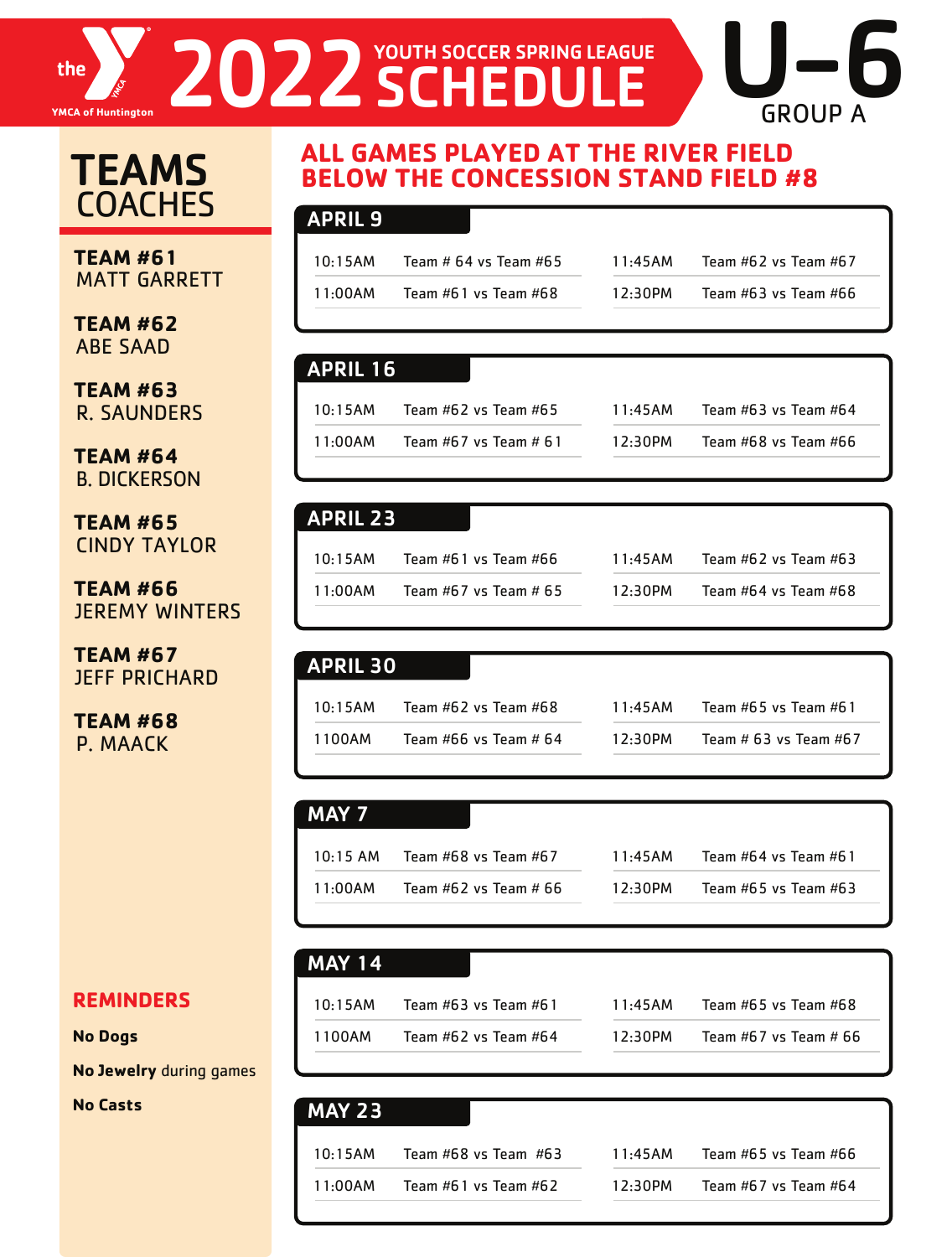#### 2022 SCHEDULE GROUP A SCHEDULEthe **YMCA of Huntington**

# **TEAMS COACHES**

**TEAM #61** MATT GARRETT

**TEAM #62** ABE SAAD

**TEAM #63**  R. SAUNDERS

**TEAM #64** B. DICKERSON

**TEAM #65** CINDY TAYLOR

**TEAM #66**  JEREMY WINTERS

**TEAM #67**  JEFF PRICHARD

**TEAM #68** P. MAACK

### **ALL GAMES PLAYED AT THE RIVER FIELD BELOW THE CONCESSION STAND FIELD #8**

#### APRIL 9

| 10:15AM | Team # 64 vs Team #65 | 11:45AM |
|---------|-----------------------|---------|
| 11:00AM | Team #61 vs Team #68  | 12:30PM |

Team  $#62$  vs Team  $#67$ Team  $#63$  vs Team  $#66$ 

 $U-6$ 

#### APRIL 16

| 10:15AM | Team $#62$ vs Team $#65$ |
|---------|--------------------------|
| 11:00AM | Team $#67$ vs Team $#61$ |

| 11:45AM | Team $#63$ vs Team $#64$ |
|---------|--------------------------|
| 12:30PM | Team #68 vs Team #66     |

#### APRIL 23

| 10:15AM | Team $#61$ vs Team $#66$ |
|---------|--------------------------|
| 11:00AM | Team #67 vs Team # 65    |

| 11:45AM | Team $#62$ vs Team $#63$ |
|---------|--------------------------|
| 12:30PM | Team #64 vs Team #68     |

| <b>APRIL 30</b>       |                          |         |                            |
|-----------------------|--------------------------|---------|----------------------------|
| 10:15AM               | Team $#62$ vs Team $#68$ | 11:45AM | Team #65 vs Team #61       |
| $\blacksquare$ 1100AM | Team #66 vs Team # $64$  | 12:30PM | Team $#$ 63 vs Team $#$ 67 |

#### MAY 7

| $10:15$ AM | Team $#68$ vs Team $#67$ |
|------------|--------------------------|
| 11:00AM    | Team $#62$ vs Team $#66$ |

|         | 10:15 AM Team #68 vs Team #67 |
|---------|-------------------------------|
| 11:00AM | Team $#62$ vs Team $#66$      |

|   | 11:45AM | Team #64 vs Team #61     |
|---|---------|--------------------------|
| 6 | 12:30PM | Team $#65$ vs Team $#63$ |
|   |         |                          |

#### MAY 14

| 10:15AM | Team #63 vs Team #61     | 11:45AM    | Team $#65$ vs Team $#68$ |
|---------|--------------------------|------------|--------------------------|
| 1100AM  | Team $#62$ vs Team $#64$ | $12:30$ PM | Team $#67$ vs Team $#66$ |

#### MAY 23

| 10:15AM | Team $#68$ vs Team $#63$ | 11:45AM    | Team #65 vs Team #66 |
|---------|--------------------------|------------|----------------------|
| 11:00AM | Team $#61$ vs Team $#62$ | $12:30$ PM | Team #67 vs Team #64 |

#### **REMINDERS**

#### **No Dogs**

**No Jewelry** during games

**No Casts**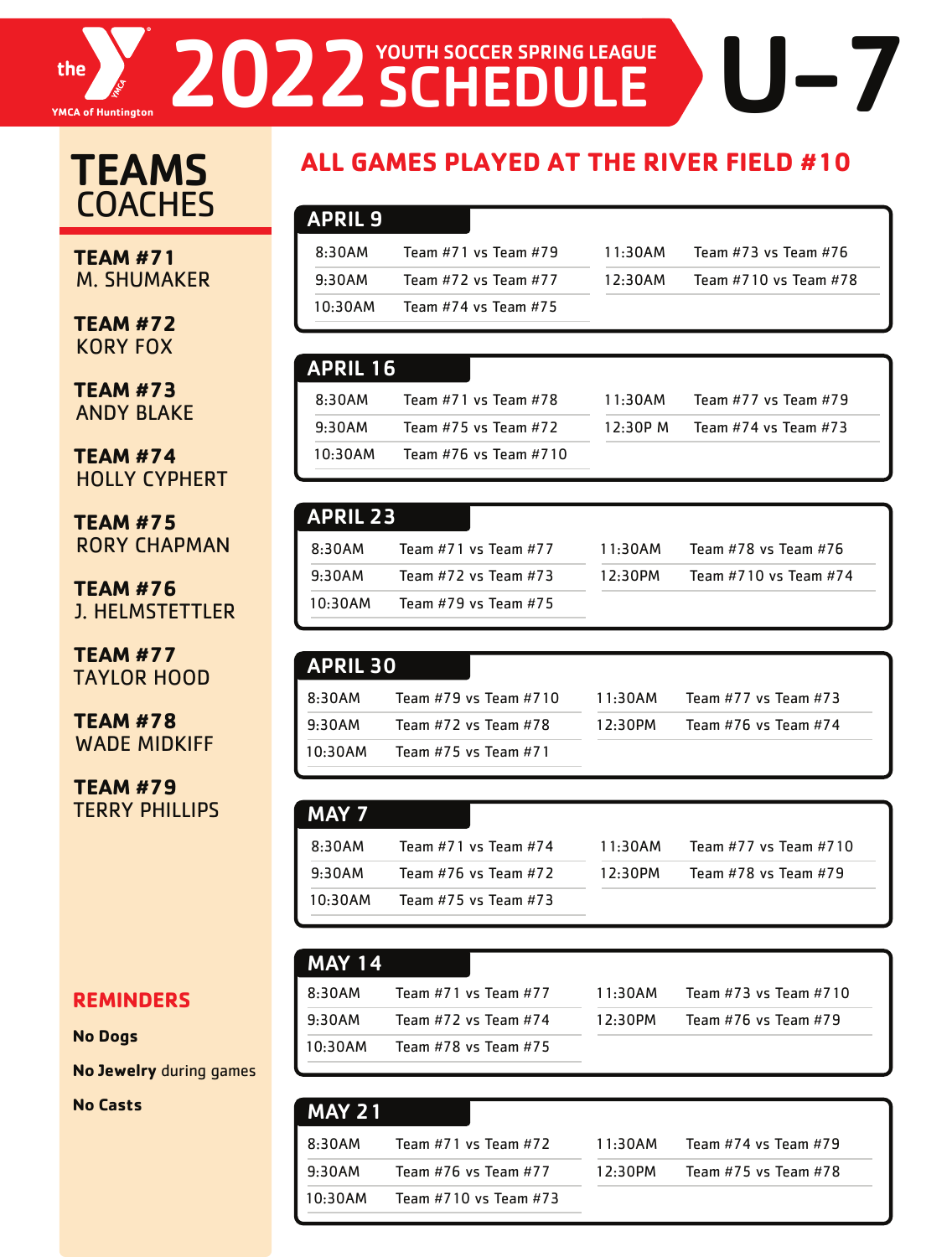# THE **EXAMPLE 2022 SCHEDULE**

# **TEAMS COACHES**

**TEAM #71** M. SHUMAKER

**TEAM #72**  KORY FOX

**TEAM #73**  ANDY BLAKE

**TEAM #74** HOLLY CYPHERT

**TEAM #75**  RORY CHAPMAN

**TEAM #76**  J. HELMSTETTLER

**TEAM #77** TAYLOR HOOD

**TEAM #78** WADE MIDKIFF

**TEAM #79**  TERRY PHILLIPS

## **ALL GAMES PLAYED AT THE RIVER FIELD #10**

|                     |  | N |
|---------------------|--|---|
| <b>PRII</b><br>- 11 |  |   |

| 8:30AM  | Team #71 vs Team #79 |
|---------|----------------------|
| 9:30AM  | Team #72 vs Team #77 |
| 10:30AM | Team #74 vs Team #75 |

| 11:30AM | Team #73 vs Team #76  |
|---------|-----------------------|
| 12:30AM | Team #710 vs Team #78 |

#### APRIL 16

| 8:30AM  | Team #71 vs Team #78     |
|---------|--------------------------|
| 9:30AM  | Team $#75$ vs Team $#72$ |
| 10:30AM | Team #76 vs Team #710    |

| 11:30AM  | Team #77 vs Team #79     |
|----------|--------------------------|
| 12:30P M | Team $#74$ vs Team $#73$ |

| <b>APRIL 23</b> |                          |
|-----------------|--------------------------|
| 8:30AM          | Team $#71$ vs Team $#77$ |
| 9:30AM          | Team #72 vs Team #73     |
| 10:30AM         | Team #79 vs Team #75     |

| 11:30AM | Team #78 vs Team #76  |
|---------|-----------------------|
| 12:30PM | Team #710 vs Team #74 |
|         |                       |

| <b>APRIL 30</b> |                          |         |                          |
|-----------------|--------------------------|---------|--------------------------|
| 8:30AM          | Team #79 vs Team #710    | 11:30AM | Team $#77$ vs Team $#73$ |
| 9:30AM          | Team $#72$ vs Team $#78$ | 12:30PM | Team #76 vs Team #74     |
| $10:30$ AM      | Team $#75$ vs Team $#71$ |         |                          |

| MAY 7   |                          |            |                       |
|---------|--------------------------|------------|-----------------------|
| 8:30AM  | Team $#71$ vs Team $#74$ | 11:30AM    | Team #77 vs Team #710 |
| 9:30AM  | Team $#76$ vs Team $#72$ | $12:30$ PM | Team #78 vs Team #79  |
| 10:30AM | Team $#75$ vs Team $#73$ |            |                       |

| <b>MAY 14</b> |                          |            |
|---------------|--------------------------|------------|
| 8:30AM        | Team $#71$ vs Team $#77$ | $11 \cdot$ |
| 9:30AM        | Team $#72$ vs Team $#74$ | 12.        |
| $10:30$ AM    | Team #78 vs Team #75     |            |

| 11:30AM | Team $#73$ vs Team $#710$ |
|---------|---------------------------|
| 12:30PM | Team #76 vs Team #79      |

# **REMINDERS**

**No Dogs** 

**No Jewelry** during games

**No Casts** 

| <b>MAY 21</b> |                          |         |                          |
|---------------|--------------------------|---------|--------------------------|
| 8:30AM        | Team $#71$ vs Team $#72$ | 11:30AM | Team #74 vs Team #79     |
| 9:30AM        | Team #76 vs Team #77     | 12:30PM | Team $#75$ vs Team $#78$ |
| 10:30AM       | Team #710 vs Team #73    |         |                          |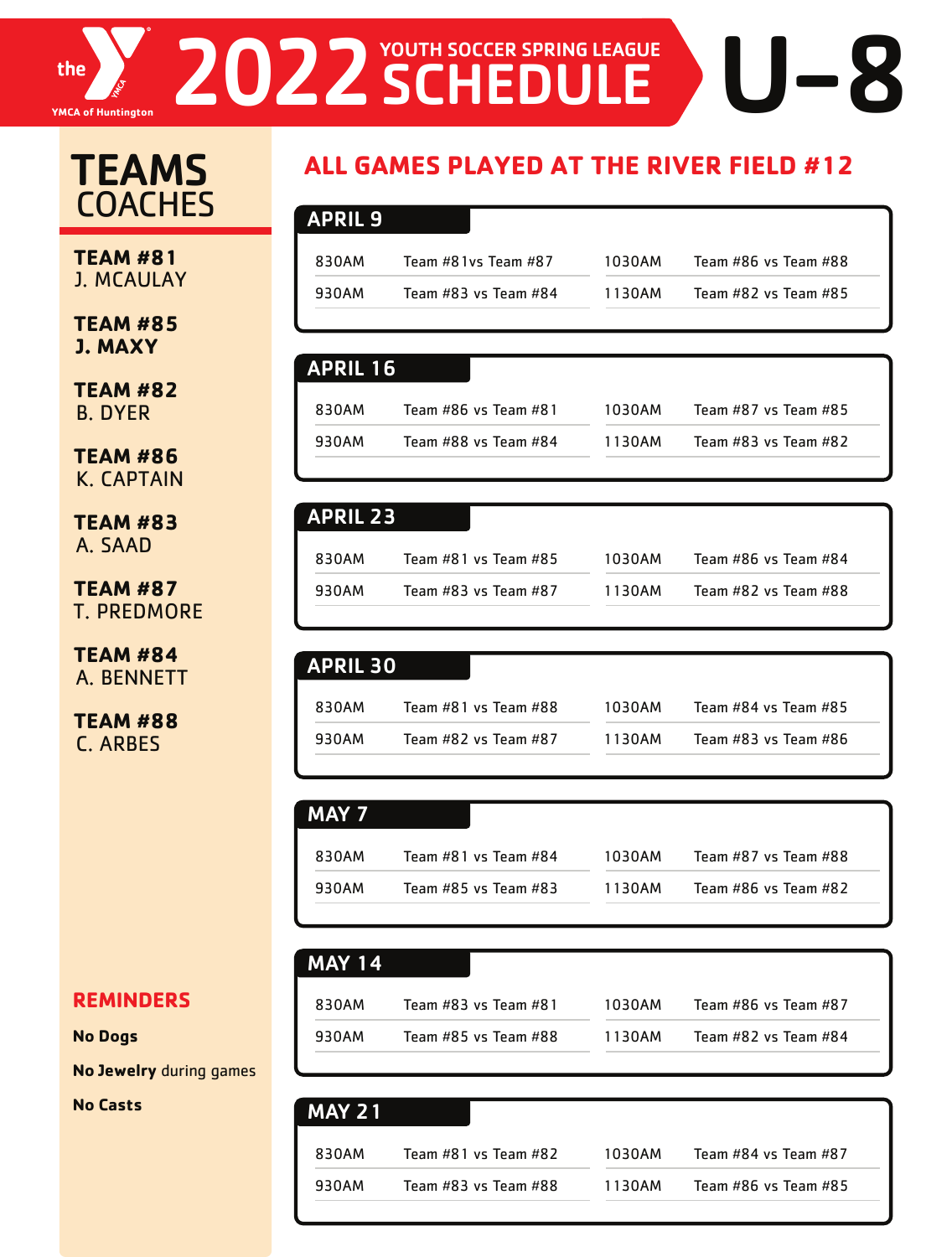# The **Yang Report of Huntington** U-8 2022 SCHEDULE

# **TEAMS COACHES**

**TEAM #81** J. MCAULAY

**TEAM #85 J. MAXY** 

**TEAM #82** B. DYER

**TEAM #86** K. CAPTAIN

**TEAM #83** A. SAAD

**TEAM #87** T. PREDMORE

**TEAM #84** A. BENNETT

**TEAM #88**  C. ARBES

# **ALL GAMES PLAYED AT THE RIVER FIELD #12**

| APRIL 9 |                      |        |                      |
|---------|----------------------|--------|----------------------|
| 830AM   | Team #81vs Team #87  | 1030AM | Team #86 vs Team #88 |
| 930AM   | Team #83 vs Team #84 | 1130AM | Team #82 vs Team #85 |
|         |                      |        |                      |

#### APRIL 16

| 830AM | Team #86 vs Team #81 | 1030AM | Team #87 vs Team #85     |
|-------|----------------------|--------|--------------------------|
| 930AM | Team #88 vs Team #84 | 1130AM | Team $#83$ vs Team $#82$ |

#### APRIL 23

| 830AM | Team $#81$ vs Team $#85$ | 1030AM | Team #86 vs Team #84 |
|-------|--------------------------|--------|----------------------|
| 930AM | Team #83 vs Team #87     | 1130AM | Team #82 vs Team #88 |

| <b>APRIL 30</b> |                      |        |                      |
|-----------------|----------------------|--------|----------------------|
| 830AM           | Team #81 vs Team #88 | 1030AM | Team #84 vs Team #85 |
| 930AM           | Team #82 vs Team #87 | 1130AM | Team #83 vs Team #86 |

#### MAY 7

| 830AM | Team #81 vs Team #84     | 1030AM | Team #87 vs Team #88 |
|-------|--------------------------|--------|----------------------|
| 930AM | Team $#85$ vs Team $#83$ | 1130AM | Team #86 vs Team #82 |

#### MAY 14

| 830AM | Team #83 vs Team #81 | 1030AM | Team #86 vs Team #87 |
|-------|----------------------|--------|----------------------|
| 930AM | Team #85 vs Team #88 | 1130AM | Team #82 vs Team #84 |

## **REMINDERS**

**No Dogs** 

**No Jewelry** during games

**No Casts** 

| <b>IMAY 21</b> |                      |        |                      |
|----------------|----------------------|--------|----------------------|
| 830AM          | Team #81 vs Team #82 | 1030AM | Team #84 vs Team #87 |
| 930AM          | Team #83 vs Team #88 | 1130AM | Team #86 vs Team #85 |
|                |                      |        |                      |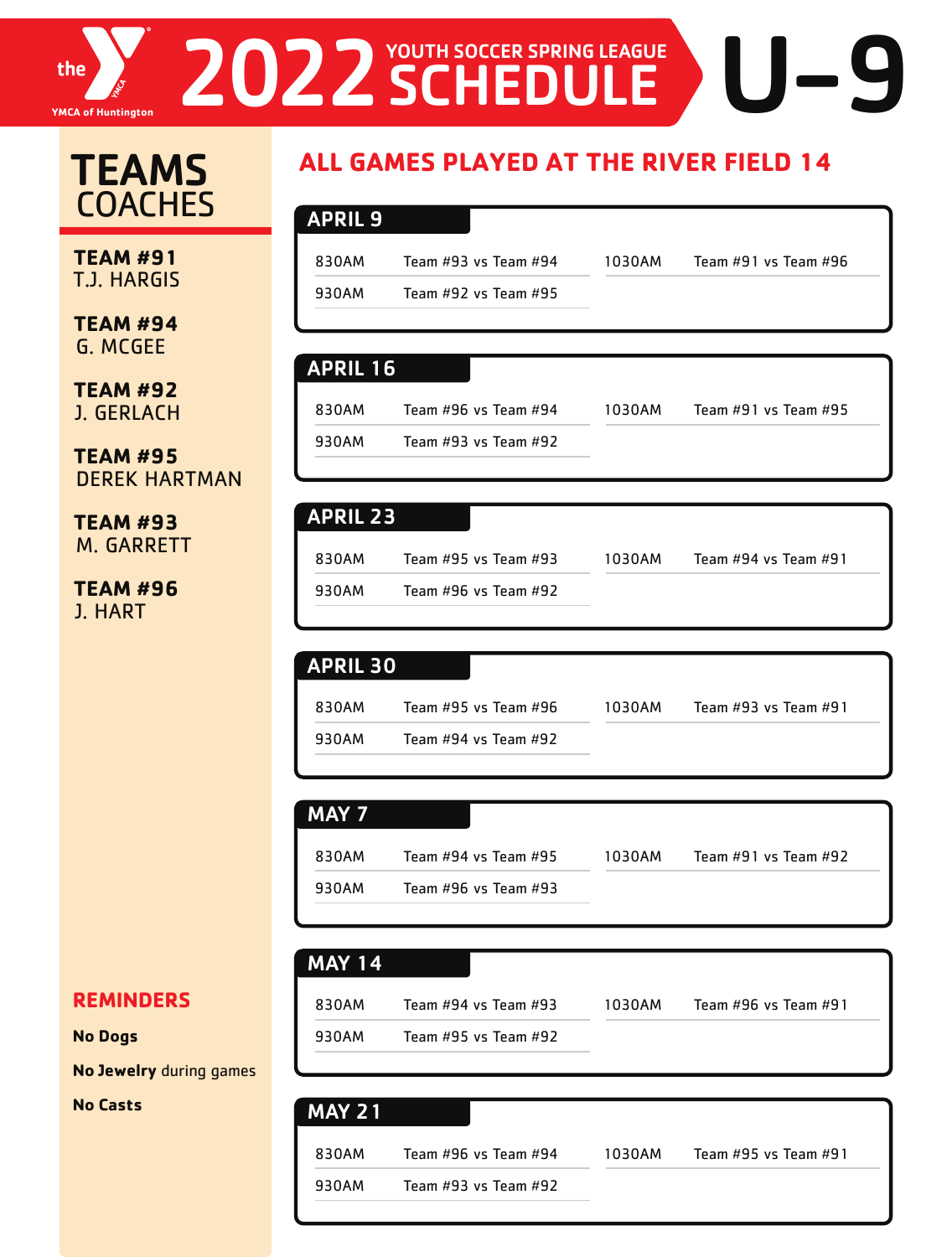

# **TEAMS COACHES**

**TEAM #91** T.J. HARGIS

**TEAM #94** G. MCGEE

**TEAM #92** J. GERLACH

**TEAM #95** DEREK HARTMAN

**TEAM #93** M. GARRETT

**TEAM #96** J. HART

#### **REMINDERS**

#### **No Dogs**

**No Jewelry** during games

**No Casts** 

## **ALL GAMES PLAYED AT THE RIVER FIELD 14**

| <b>APRIL 9</b> |                          |        |                      |
|----------------|--------------------------|--------|----------------------|
|                |                          |        |                      |
| 830AM          | Team #93 vs Team #94     | 1030AM | Team #91 vs Team #96 |
| 930AM          | Team $#92$ vs Team $#95$ |        |                      |
|                |                          |        |                      |

#### APRIL 16

830AM Team #96 vs Team #94 930AM Team #93 vs Team #92

| <b>APRIL 23</b> |                          |        |                          |  |
|-----------------|--------------------------|--------|--------------------------|--|
| 830AM           | Team $#95$ vs Team $#93$ | 1030AM | Team $#94$ vs Team $#91$ |  |

| 930AM | Team #96 vs Team #92 |  |
|-------|----------------------|--|

| <b>APRIL 30</b> |                      |
|-----------------|----------------------|
| 830AM           | Team #95 vs Team #96 |
|                 |                      |

930AM Team #94 vs Team #92

#### MAY 7

| 830AM | Team #94 vs Team #95     | 1030AM | Team $#91$ vs Team $#92$ |  |
|-------|--------------------------|--------|--------------------------|--|
| 930AM | Team $#96$ vs Team $#93$ |        |                          |  |

# MAY 14

| 830AM | Team #94 vs Team #93 | 103( |
|-------|----------------------|------|
| 930AM | Team #95 vs Team #92 |      |

0AM Team #96 vs Team #91

1030AM Team #91 vs Team #95

1030AM Team #93 vs Team #91

| <b>MAY 21</b> |                          |        |                          |
|---------------|--------------------------|--------|--------------------------|
| 830AM         | Team #96 vs Team #94     | 1030AM | Team $#95$ vs Team $#91$ |
| 930AM         | Team $#93$ vs Team $#92$ |        |                          |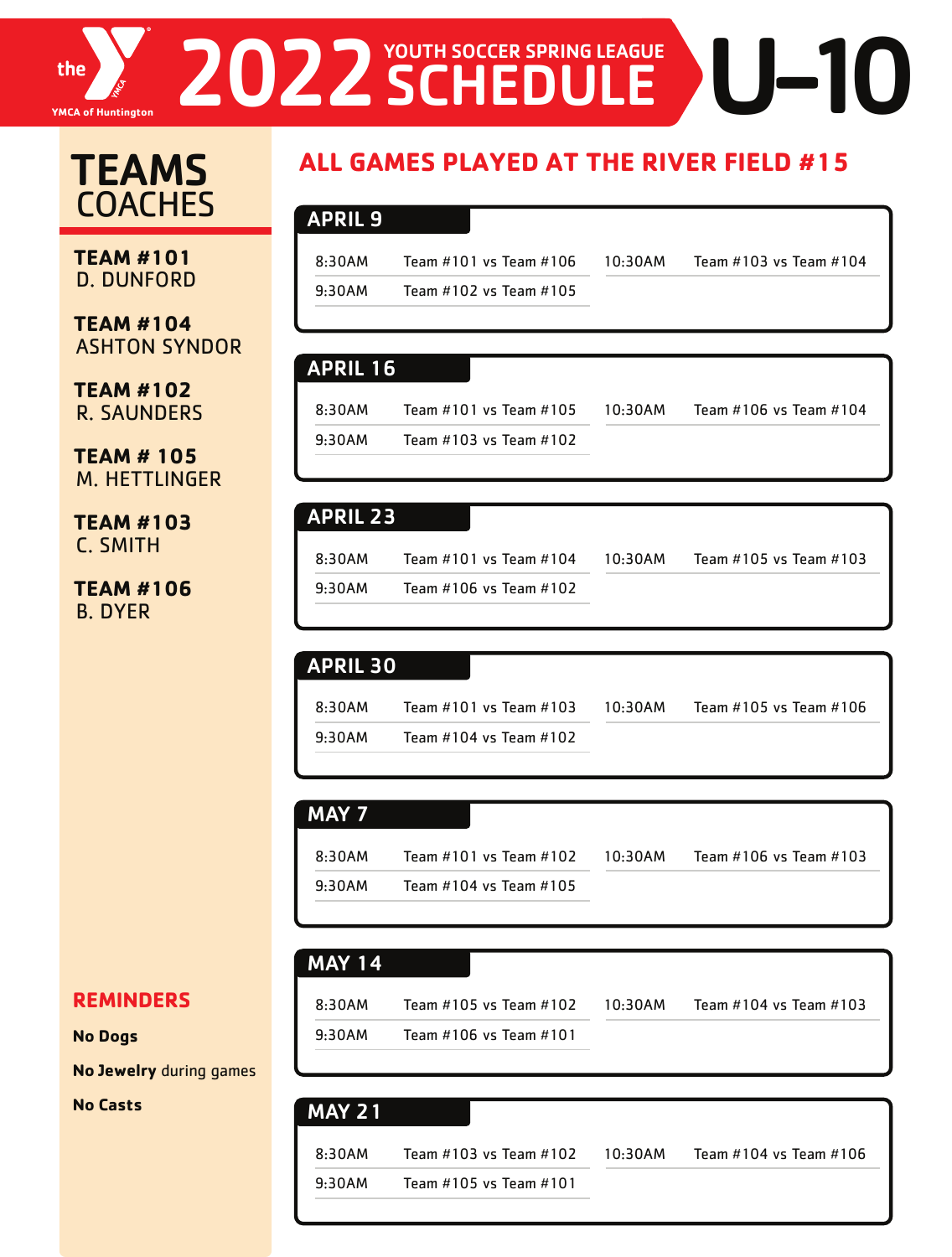

# THE **EXAMPLE 2022 SCHEDULE**

# TEAMS **COACHES**

**TEAM #101** D. DUNFORD

**TEAM #104** ASHTON SYNDOR

**TEAM #102** R. SAUNDERS

**TEAM # 105** M. HETTLINGER

**TEAM #103** C. SMITH

**TEAM #106** B. DYER

#### **REMINDERS**

#### **No Dogs**

**No Jewelry** during games

**No Casts** 

## **ALL GAMES PLAYED AT THE RIVER FIELD #15**

#### APRIL 9

8:30AM Team #101 vs Team #106 9:30AM Team #102 vs Team #105 10:30AM Team #103 vs Team #104

10:30AM Team #105 vs Team #103

#### APRIL 16

8:30AM Team #101 vs Team #105 9:30AM Team #103 vs Team #102

10:30AM Team #106 vs Team #104

#### APRIL 23

8:30AM Team #101 vs Team #104 9:30AM Team #106 vs Team #102

#### APRIL 30

8:30AM Team #101 vs Team #103 9:30AM Team #104 vs Team #102 10:30AM Team #105 vs Team #106

#### MAY 7

8:30AM Team #101 vs Team #102 9:30AM Team #104 vs Team #105 10:30AM Team #106 vs Team #103

#### MAY 14

9:30AM Team #106 vs Team #101

8:30AM Team #105 vs Team #102

10:30AM Team #104 vs Team #103

### 8:30AM Team #103 vs Team #102 9:30AM Team #105 vs Team #101 10:30AM Team #104 vs Team #106 MAY 21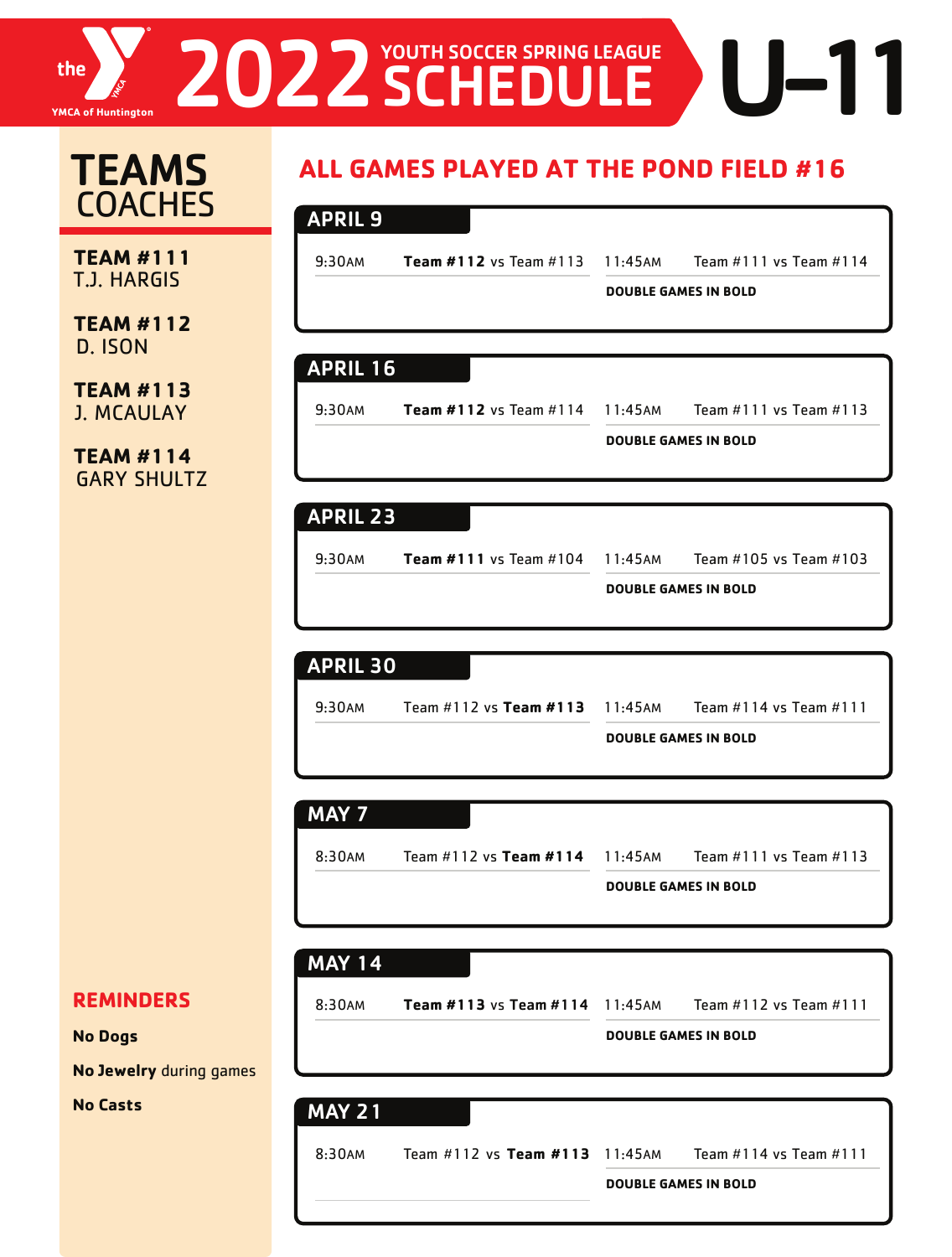# 2022 SCHEDULE DU-11 the **YMCA of Huntington**

#### **TEAM #111** T.J. HARGIS **TEAM #112** D. ISON **TEAM #113**  J. MCAULAY **TEAM #114 TEAMS COACHES** 9:30AM **Team #112** vs Team #113 11:45AM Team #111 vs Team #114 **DOUBLE GAMES IN BOLD** APRIL 9 9:30AM **Team #112** vs Team #114 11:45AM Team #111 vs Team #113 **DOUBLE GAMES IN BOLD** APRIL 16

#### APRIL 23

9:30AM **Team #111** vs Team #104 11:45AM Team #105 vs Team #103

**DOUBLE GAMES IN BOLD**

# 9:30AM Team #112 vs **Team #113** 11:45AM Team #114 vs Team #111 **DOUBLE GAMES IN BOLD** APRIL 30

#### MAY 7

8:30AM Team #112 vs **Team #114** 11:45AM Team #111 vs Team #113

**DOUBLE GAMES IN BOLD**

#### MAY 14

- 
- 

8:30AM **Team #113** vs Team #114 11:45AM Team #112 vs Team #111

**DOUBLE GAMES IN BOLD**

#### **No Dogs**

**REMINDERS** 

**No Jewelry** during games

GARY SHULTZ

**No Casts** 

# 8:30AM Team #112 vs **Team #113** 11:45AM Team #114 vs Team #111 **DOUBLE GAMES IN BOLD** MAY 21

# **ALL GAMES PLAYED AT THE POND FIELD #16**